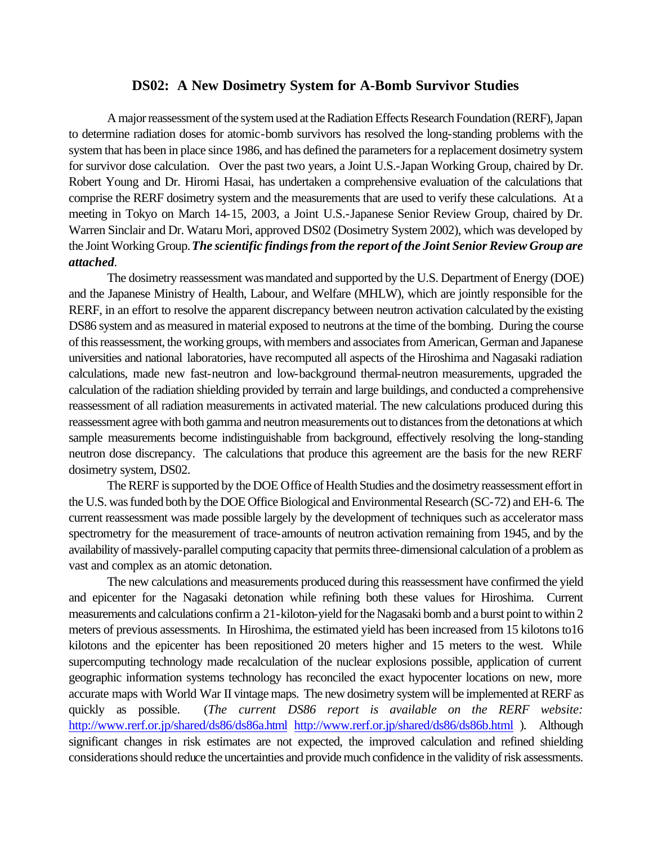### **DS02: A New Dosimetry System for A-Bomb Survivor Studies**

A major reassessment of the system used at the Radiation Effects Research Foundation (RERF), Japan to determine radiation doses for atomic-bomb survivors has resolved the long-standing problems with the system that has been in place since 1986, and has defined the parameters for a replacement dosimetry system for survivor dose calculation. Over the past two years, a Joint U.S.-Japan Working Group, chaired by Dr. Robert Young and Dr. Hiromi Hasai, has undertaken a comprehensive evaluation of the calculations that comprise the RERF dosimetry system and the measurements that are used to verify these calculations. At a meeting in Tokyo on March 14-15, 2003, a Joint U.S.-Japanese Senior Review Group, chaired by Dr. Warren Sinclair and Dr. Wataru Mori, approved DS02 (Dosimetry System 2002), which was developed by the Joint Working Group. *The scientific findings from the report of the Joint Senior Review Group are attached.*

The dosimetry reassessment was mandated and supported by the U.S. Department of Energy (DOE) and the Japanese Ministry of Health, Labour, and Welfare (MHLW), which are jointly responsible for the RERF, in an effort to resolve the apparent discrepancy between neutron activation calculated by the existing DS86 system and as measured in material exposed to neutrons at the time of the bombing. During the course of this reassessment, the working groups, with members and associates from American, German and Japanese universities and national laboratories, have recomputed all aspects of the Hiroshima and Nagasaki radiation calculations, made new fast-neutron and low-background thermal-neutron measurements, upgraded the calculation of the radiation shielding provided by terrain and large buildings, and conducted a comprehensive reassessment of all radiation measurements in activated material. The new calculations produced during this reassessment agree with both gamma and neutron measurements out to distances from the detonations at which sample measurements become indistinguishable from background, effectively resolving the long-standing neutron dose discrepancy. The calculations that produce this agreement are the basis for the new RERF dosimetry system, DS02.

The RERF is supported by the DOE Office of Health Studies and the dosimetry reassessment effort in the U.S. was funded both by the DOE Office Biological and Environmental Research (SC-72) and EH-6. The current reassessment was made possible largely by the development of techniques such as accelerator mass spectrometry for the measurement of trace-amounts of neutron activation remaining from 1945, and by the availability of massively-parallel computing capacity that permits three-dimensional calculation of a problem as vast and complex as an atomic detonation.

The new calculations and measurements produced during this reassessment have confirmed the yield and epicenter for the Nagasaki detonation while refining both these values for Hiroshima. Current measurements and calculations confirm a 21-kiloton-yield for the Nagasaki bomb and a burst point to within 2 meters of previous assessments. In Hiroshima, the estimated yield has been increased from 15 kilotons to16 kilotons and the epicenter has been repositioned 20 meters higher and 15 meters to the west. While supercomputing technology made recalculation of the nuclear explosions possible, application of current geographic information systems technology has reconciled the exact hypocenter locations on new, more accurate maps with World War II vintage maps. The new dosimetry system will be implemented at RERF as quickly as possible. (*The current DS86 report is available on the RERF website:* <http://www.rerf.or.jp/shared/ds86/ds86a.html> <http://www.rerf.or.jp/shared/ds86/ds86b.html>). Although significant changes in risk estimates are not expected, the improved calculation and refined shielding considerations should reduce the uncertainties and provide much confidence in the validity of risk assessments.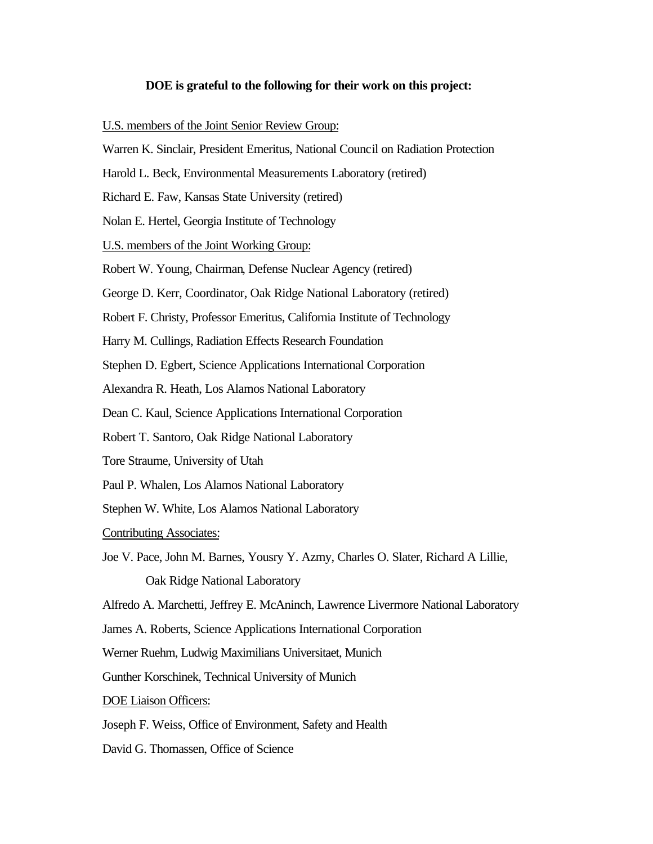#### **DOE is grateful to the following for their work on this project:**

#### U.S. members of the Joint Senior Review Group:

- Warren K. Sinclair, President Emeritus, National Council on Radiation Protection
- Harold L. Beck, Environmental Measurements Laboratory (retired)
- Richard E. Faw, Kansas State University (retired)
- Nolan E. Hertel, Georgia Institute of Technology
- U.S. members of the Joint Working Group:
- Robert W. Young, Chairman, Defense Nuclear Agency (retired)
- George D. Kerr, Coordinator, Oak Ridge National Laboratory (retired)
- Robert F. Christy, Professor Emeritus, California Institute of Technology
- Harry M. Cullings, Radiation Effects Research Foundation
- Stephen D. Egbert, Science Applications International Corporation
- Alexandra R. Heath, Los Alamos National Laboratory
- Dean C. Kaul, Science Applications International Corporation
- Robert T. Santoro, Oak Ridge National Laboratory
- Tore Straume, University of Utah
- Paul P. Whalen, Los Alamos National Laboratory
- Stephen W. White, Los Alamos National Laboratory
- Contributing Associates:
- Joe V. Pace, John M. Barnes, Yousry Y. Azmy, Charles O. Slater, Richard A Lillie, Oak Ridge National Laboratory

Alfredo A. Marchetti, Jeffrey E. McAninch, Lawrence Livermore National Laboratory

- James A. Roberts, Science Applications International Corporation
- Werner Ruehm, Ludwig Maximilians Universitaet, Munich
- Gunther Korschinek, Technical University of Munich
- DOE Liaison Officers:
- Joseph F. Weiss, Office of Environment, Safety and Health
- David G. Thomassen, Office of Science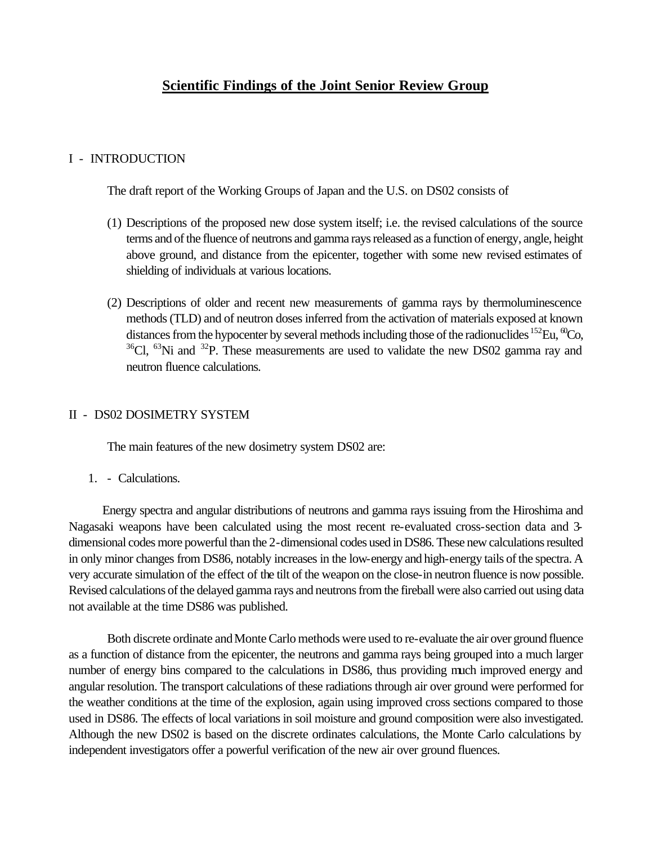# I - INTRODUCTION

The draft report of the Working Groups of Japan and the U.S. on DS02 consists of

- (1) Descriptions of the proposed new dose system itself; i.e. the revised calculations of the source terms and of the fluence of neutrons and gamma rays released as a function of energy, angle, height above ground, and distance from the epicenter, together with some new revised estimates of shielding of individuals at various locations.
- (2) Descriptions of older and recent new measurements of gamma rays by thermoluminescence methods (TLD) and of neutron doses inferred from the activation of materials exposed at known distances from the hypocenter by several methods including those of the radionuclides  ${}^{152}Eu, {}^{60}Co$ ,  $36$ Cl,  $63$ Ni and  $32$ P. These measurements are used to validate the new DS02 gamma ray and neutron fluence calculations.

## II - DS02 DOSIMETRY SYSTEM

The main features of the new dosimetry system DS02 are:

1. - Calculations.

Energy spectra and angular distributions of neutrons and gamma rays issuing from the Hiroshima and Nagasaki weapons have been calculated using the most recent re-evaluated cross-section data and 3 dimensional codes more powerful than the 2-dimensional codes used in DS86. These new calculations resulted in only minor changes from DS86, notably increases in the low-energy and high-energy tails of the spectra. A very accurate simulation of the effect of the tilt of the weapon on the close-in neutron fluence is now possible. Revised calculations of the delayed gamma rays and neutrons from the fireball were also carried out using data not available at the time DS86 was published.

Both discrete ordinate and Monte Carlo methods were used to re-evaluate the air over ground fluence as a function of distance from the epicenter, the neutrons and gamma rays being grouped into a much larger number of energy bins compared to the calculations in DS86, thus providing much improved energy and angular resolution. The transport calculations of these radiations through air over ground were performed for the weather conditions at the time of the explosion, again using improved cross sections compared to those used in DS86. The effects of local variations in soil moisture and ground composition were also investigated. Although the new DS02 is based on the discrete ordinates calculations, the Monte Carlo calculations by independent investigators offer a powerful verification of the new air over ground fluences.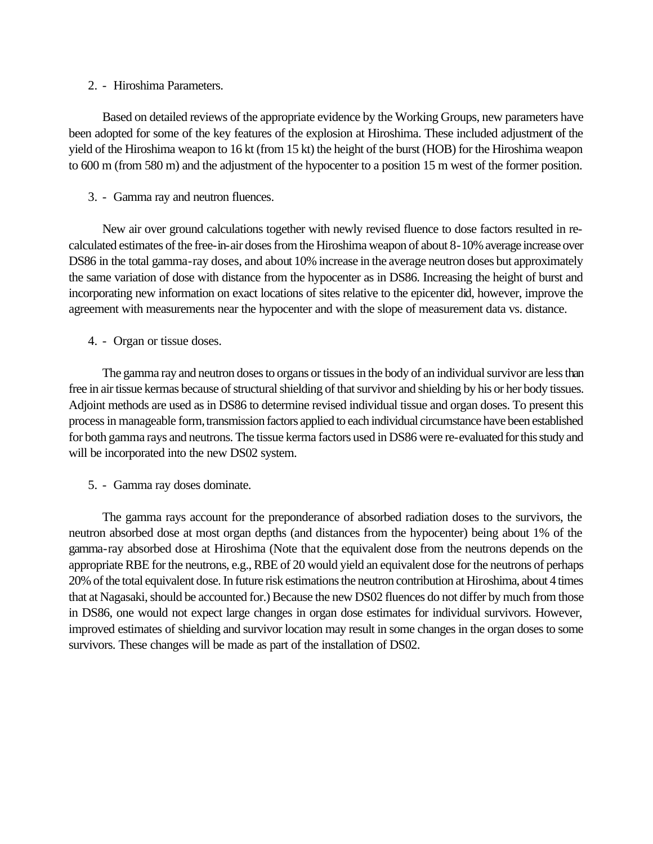### 2. - Hiroshima Parameters.

Based on detailed reviews of the appropriate evidence by the Working Groups, new parameters have been adopted for some of the key features of the explosion at Hiroshima. These included adjustment of the yield of the Hiroshima weapon to 16 kt (from 15 kt) the height of the burst (HOB) for the Hiroshima weapon to 600 m (from 580 m) and the adjustment of the hypocenter to a position 15 m west of the former position.

3. - Gamma ray and neutron fluences.

New air over ground calculations together with newly revised fluence to dose factors resulted in recalculated estimates of the free-in-air doses from the Hiroshima weapon of about 8-10% average increase over DS86 in the total gamma-ray doses, and about 10% increase in the average neutron doses but approximately the same variation of dose with distance from the hypocenter as in DS86. Increasing the height of burst and incorporating new information on exact locations of sites relative to the epicenter did, however, improve the agreement with measurements near the hypocenter and with the slope of measurement data vs. distance.

4. - Organ or tissue doses.

The gamma ray and neutron doses to organs or tissues in the body of an individual survivor are less than free in air tissue kermas because of structural shielding of that survivor and shielding by his or her body tissues. Adjoint methods are used as in DS86 to determine revised individual tissue and organ doses. To present this process in manageable form, transmission factors applied to each individual circumstance have been established for both gamma rays and neutrons. The tissue kerma factors used in DS86 were re-evaluated for this study and will be incorporated into the new DS02 system.

5. - Gamma ray doses dominate.

The gamma rays account for the preponderance of absorbed radiation doses to the survivors, the neutron absorbed dose at most organ depths (and distances from the hypocenter) being about 1% of the gamma-ray absorbed dose at Hiroshima (Note that the equivalent dose from the neutrons depends on the appropriate RBE for the neutrons, e.g., RBE of 20 would yield an equivalent dose for the neutrons of perhaps 20% of the total equivalent dose. In future risk estimations the neutron contribution at Hiroshima, about 4 times that at Nagasaki, should be accounted for.) Because the new DS02 fluences do not differ by much from those in DS86, one would not expect large changes in organ dose estimates for individual survivors. However, improved estimates of shielding and survivor location may result in some changes in the organ doses to some survivors. These changes will be made as part of the installation of DS02.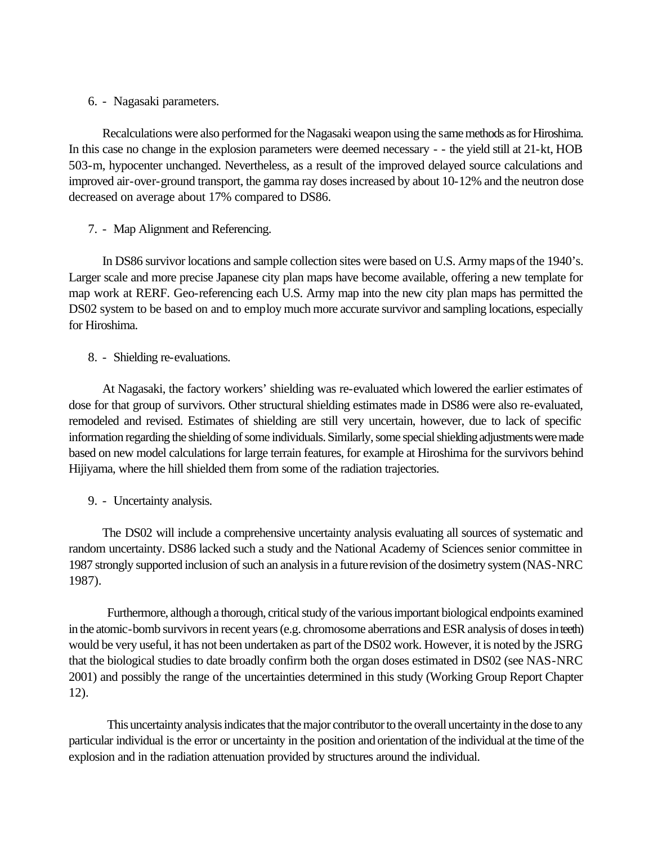6. - Nagasaki parameters.

Recalculations were also performed for the Nagasaki weapon using the same methods as for Hiroshima. In this case no change in the explosion parameters were deemed necessary - - the yield still at 21-kt, HOB 503-m, hypocenter unchanged. Nevertheless, as a result of the improved delayed source calculations and improved air-over-ground transport, the gamma ray doses increased by about 10-12% and the neutron dose decreased on average about 17% compared to DS86.

7. - Map Alignment and Referencing.

In DS86 survivor locations and sample collection sites were based on U.S. Army maps of the 1940's. Larger scale and more precise Japanese city plan maps have become available, offering a new template for map work at RERF. Geo-referencing each U.S. Army map into the new city plan maps has permitted the DS02 system to be based on and to employ much more accurate survivor and sampling locations, especially for Hiroshima.

8. - Shielding re-evaluations.

At Nagasaki, the factory workers' shielding was re-evaluated which lowered the earlier estimates of dose for that group of survivors. Other structural shielding estimates made in DS86 were also re-evaluated, remodeled and revised. Estimates of shielding are still very uncertain, however, due to lack of specific information regarding the shielding of some individuals. Similarly, some special shielding adjustments were made based on new model calculations for large terrain features, for example at Hiroshima for the survivors behind Hijiyama, where the hill shielded them from some of the radiation trajectories.

9. - Uncertainty analysis.

The DS02 will include a comprehensive uncertainty analysis evaluating all sources of systematic and random uncertainty. DS86 lacked such a study and the National Academy of Sciences senior committee in 1987 strongly supported inclusion of such an analysis in a future revision of the dosimetry system (NAS-NRC 1987).

Furthermore, although a thorough, critical study of the various important biological endpoints examined in the atomic-bomb survivors in recent years (e.g. chromosome aberrations and ESR analysis of doses in teeth) would be very useful, it has not been undertaken as part of the DS02 work. However, it is noted by the JSRG that the biological studies to date broadly confirm both the organ doses estimated in DS02 (see NAS-NRC 2001) and possibly the range of the uncertainties determined in this study (Working Group Report Chapter 12).

This uncertainty analysis indicates that the major contributor to the overall uncertainty in the dose to any particular individual is the error or uncertainty in the position and orientation of the individual at the time of the explosion and in the radiation attenuation provided by structures around the individual.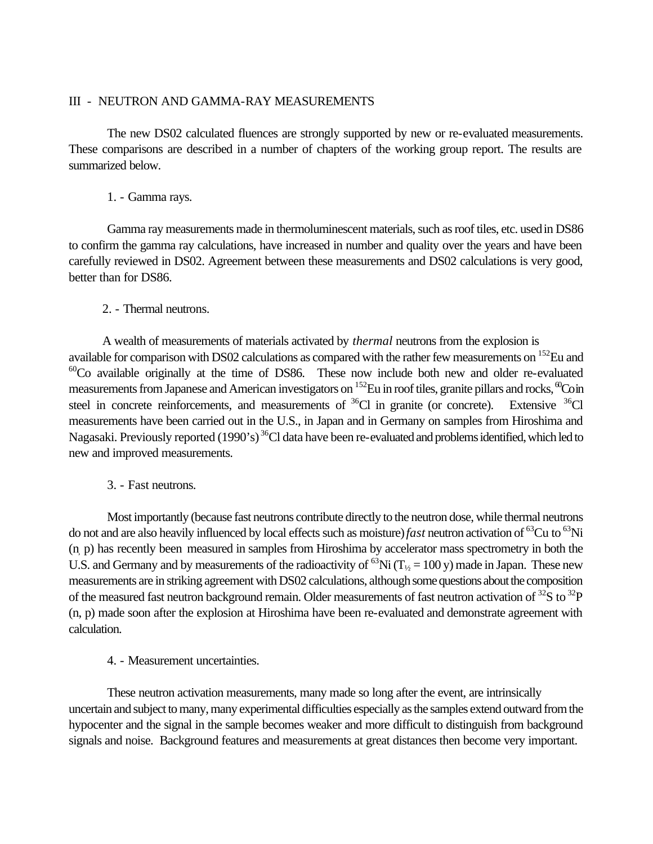#### III - NEUTRON AND GAMMA-RAY MEASUREMENTS

The new DS02 calculated fluences are strongly supported by new or re-evaluated measurements. These comparisons are described in a number of chapters of the working group report. The results are summarized below.

1. - Gamma rays.

Gamma ray measurements made in thermoluminescent materials, such as roof tiles, etc. used in DS86 to confirm the gamma ray calculations, have increased in number and quality over the years and have been carefully reviewed in DS02. Agreement between these measurements and DS02 calculations is very good, better than for DS86.

2. - Thermal neutrons.

A wealth of measurements of materials activated by *thermal* neutrons from the explosion is available for comparison with DS02 calculations as compared with the rather few measurements on <sup>152</sup>Eu and  $^{60}$ Co available originally at the time of DS86. These now include both new and older re-evaluated measurements from Japanese and American investigators on  $^{152}$ Eu in roof tiles, granite pillars and rocks,  $^{60}$ Co in steel in concrete reinforcements, and measurements of  ${}^{36}Cl$  in granite (or concrete). Extensive  ${}^{36}Cl$ measurements have been carried out in the U.S., in Japan and in Germany on samples from Hiroshima and Nagasaki. Previously reported (1990's)<sup>36</sup>Cl data have been re-evaluated and problems identified, which led to new and improved measurements.

3. - Fast neutrons.

Most importantly (because fast neutrons contribute directly to the neutron dose, while thermal neutrons do not and are also heavily influenced by local effects such as moisture) *fast* neutron activation of <sup>63</sup>Cu to <sup>63</sup>Ni (n, p) has recently been measured in samples from Hiroshima by accelerator mass spectrometry in both the U.S. and Germany and by measurements of the radioactivity of <sup>63</sup>Ni ( $T<sub>1/2</sub> = 100$  y) made in Japan. These new measurements are in striking agreement with DS02 calculations, although some questions about the composition of the measured fast neutron background remain. Older measurements of fast neutron activation of  $^{32}S$  to  $^{32}P$ (n, p) made soon after the explosion at Hiroshima have been re-evaluated and demonstrate agreement with calculation.

4. - Measurement uncertainties.

These neutron activation measurements, many made so long after the event, are intrinsically uncertain and subject to many, many experimental difficulties especially as the samples extend outward from the hypocenter and the signal in the sample becomes weaker and more difficult to distinguish from background signals and noise. Background features and measurements at great distances then become very important.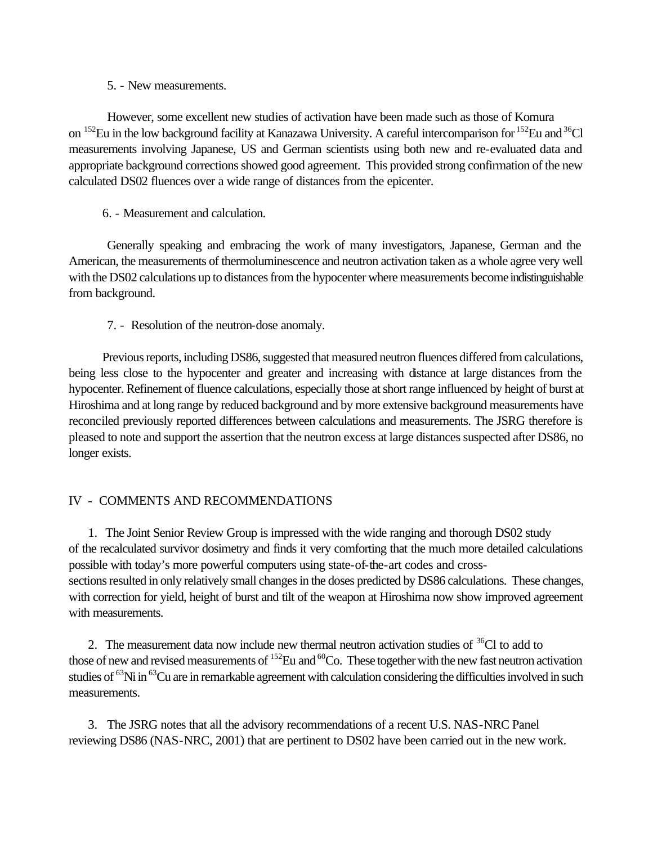5. - New measurements.

However, some excellent new studies of activation have been made such as those of Komura on <sup>152</sup>Eu in the low background facility at Kanazawa University. A careful intercomparison for <sup>152</sup>Eu and <sup>36</sup>Cl measurements involving Japanese, US and German scientists using both new and re-evaluated data and appropriate background corrections showed good agreement. This provided strong confirmation of the new calculated DS02 fluences over a wide range of distances from the epicenter.

6. - Measurement and calculation.

Generally speaking and embracing the work of many investigators, Japanese, German and the American, the measurements of thermoluminescence and neutron activation taken as a whole agree very well with the DS02 calculations up to distances from the hypocenter where measurements become indistinguishable from background.

7. - Resolution of the neutron-dose anomaly.

Previous reports, including DS86, suggested that measured neutron fluences differed from calculations, being less close to the hypocenter and greater and increasing with distance at large distances from the hypocenter. Refinement of fluence calculations, especially those at short range influenced by height of burst at Hiroshima and at long range by reduced background and by more extensive background measurements have reconciled previously reported differences between calculations and measurements. The JSRG therefore is pleased to note and support the assertion that the neutron excess at large distances suspected after DS86, no longer exists.

## IV - COMMENTS AND RECOMMENDATIONS

1. The Joint Senior Review Group is impressed with the wide ranging and thorough DS02 study of the recalculated survivor dosimetry and finds it very comforting that the much more detailed calculations possible with today's more powerful computers using state-of-the-art codes and crosssections resulted in only relatively small changes in the doses predicted by DS86 calculations. These changes, with correction for yield, height of burst and tilt of the weapon at Hiroshima now show improved agreement with measurements.

2. The measurement data now include new thermal neutron activation studies of  $36$ Cl to add to those of new and revised measurements of  $^{152}$ Eu and  $^{60}$ Co. These together with the new fast neutron activation studies of <sup>63</sup>Ni in <sup>63</sup>Cu are in remarkable agreement with calculation considering the difficulties involved in such measurements.

3. The JSRG notes that all the advisory recommendations of a recent U.S. NAS-NRC Panel reviewing DS86 (NAS-NRC, 2001) that are pertinent to DS02 have been carried out in the new work.